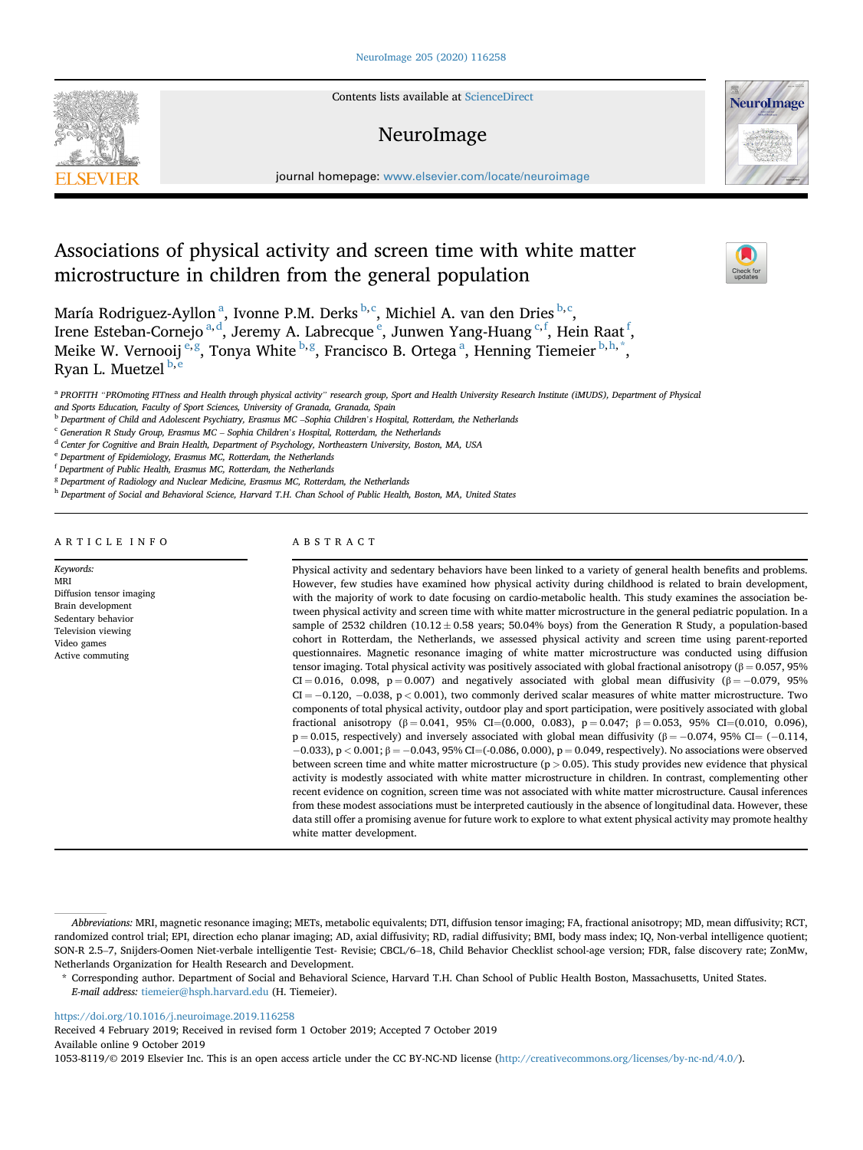Contents lists available at [ScienceDirect](www.sciencedirect.com/science/journal/10538119)

# NeuroImage



journal homepage: [www.elsevier.com/locate/neuroimage](http://www.elsevier.com/locate/neuroimage)

# Associations of physical activity and screen time with white matter microstructure in children from the general population



María Rodriguez-Ayllon<sup>a</sup>, Ivonne P.M. Derks <sup>b,c</sup>, Michiel A. van den Dries <sup>b,c</sup>, Irene Esteban-Cornejo <sup>a, d</sup>, Jeremy A. Labrecque <sup>e</sup>, Junwen Yang-Huang <sup>c, f</sup>, Hein Raat <sup>f</sup>, Meike W. Vernooij <sup>e,g</sup>, Tonya White <sup>b,g</sup>, Francisco B. Ortega <sup>a</sup>, Henning Tiemeier <sup>b,h,\*</sup>, Ryan L. Muetzel **b**, e

<sup>d</sup> Center for Cognitive and Brain Health, Department of Psychology, Northeastern University, Boston, MA, USA

<sup>e</sup> Department of Epidemiology, Erasmus MC, Rotterdam, the Netherlands

<sup>f</sup> Department of Public Health, Erasmus MC, Rotterdam, the Netherlands

<sup>8</sup> Department of Radiology and Nuclear Medicine, Erasmus MC, Rotterdam, the Netherlands

h Department of Social and Behavioral Science, Harvard T.H. Chan School of Public Health, Boston, MA, United States

ARTICLE INFO

#### Keywords: MRI Diffusion tensor imaging Brain development Sedentary behavior Television viewing Video games Active commuting

# ABSTRACT

Physical activity and sedentary behaviors have been linked to a variety of general health benefits and problems. However, few studies have examined how physical activity during childhood is related to brain development, with the majority of work to date focusing on cardio-metabolic health. This study examines the association between physical activity and screen time with white matter microstructure in the general pediatric population. In a sample of 2532 children (10.12  $\pm$  0.58 years; 50.04% boys) from the Generation R Study, a population-based cohort in Rotterdam, the Netherlands, we assessed physical activity and screen time using parent-reported questionnaires. Magnetic resonance imaging of white matter microstructure was conducted using diffusion tensor imaging. Total physical activity was positively associated with global fractional anisotropy ( $\beta = 0.057$ , 95% CI = 0.016, 0.098, p = 0.007) and negatively associated with global mean diffusivity ( $\beta$  = -0.079, 95%  $CI = -0.120, -0.038, p < 0.001$ , two commonly derived scalar measures of white matter microstructure. Two components of total physical activity, outdoor play and sport participation, were positively associated with global fractional anisotropy (β = 0.041, 95% CI=(0.000, 0.083), p = 0.047; β = 0.053, 95% CI=(0.010, 0.096),  $p = 0.015$ , respectively) and inversely associated with global mean diffusivity ( $\beta = -0.074$ , 95% CI= (-0.114,  $-0.033$ ), p < 0.001; β =  $-0.043$ , 95% CI=(-0.086, 0.000), p = 0.049, respectively). No associations were observed between screen time and white matter microstructure ( $p > 0.05$ ). This study provides new evidence that physical activity is modestly associated with white matter microstructure in children. In contrast, complementing other recent evidence on cognition, screen time was not associated with white matter microstructure. Causal inferences from these modest associations must be interpreted cautiously in the absence of longitudinal data. However, these data still offer a promising avenue for future work to explore to what extent physical activity may promote healthy white matter development.

<https://doi.org/10.1016/j.neuroimage.2019.116258>

Received 4 February 2019; Received in revised form 1 October 2019; Accepted 7 October 2019 Available online 9 October 2019

1053-8119/© 2019 Elsevier Inc. This is an open access article under the CC BY-NC-ND license ([http://creativecommons.org/licenses/by-nc-nd/4.0/\)](http://creativecommons.org/licenses/by-nc-nd/4.0/).

a PROFITH "PROmoting FITness and Health through physical activity" research group, Sport and Health University Research Institute (iMUDS), Department of Physical and Sports Education, Faculty of Sport Sciences, University of Granada, Granada, Spain <sup>b</sup> Department of Child and Adolescent Psychiatry, Erasmus MC –Sophia Children's Hospital, Rotterdam, the Netherlands

c Generation Calcouson, 1 cause of Group, Group, Group, Group, Group, Group, Group, Group, Group, Group, Group<br>Children's Hospital, Rotterdam, The Netherlands MC – Sophia Children's Hospital, Rotterdam, the Netherlands<br>Chi

Abbreviations: MRI, magnetic resonance imaging; METs, metabolic equivalents; DTI, diffusion tensor imaging; FA, fractional anisotropy; MD, mean diffusivity; RCT, randomized control trial; EPI, direction echo planar imaging; AD, axial diffusivity; RD, radial diffusivity; BMI, body mass index; IQ, Non-verbal intelligence quotient; SON-R 2.5–7, Snijders-Oomen Niet-verbale intelligentie Test- Revisie; CBCL/6–18, Child Behavior Checklist school-age version; FDR, false discovery rate; ZonMw, Netherlands Organization for Health Research and Development.

<sup>\*</sup> Corresponding author. Department of Social and Behavioral Science, Harvard T.H. Chan School of Public Health Boston, Massachusetts, United States. E-mail address: [tiemeier@hsph.harvard.edu](mailto:tiemeier@hsph.harvard.edu) (H. Tiemeier).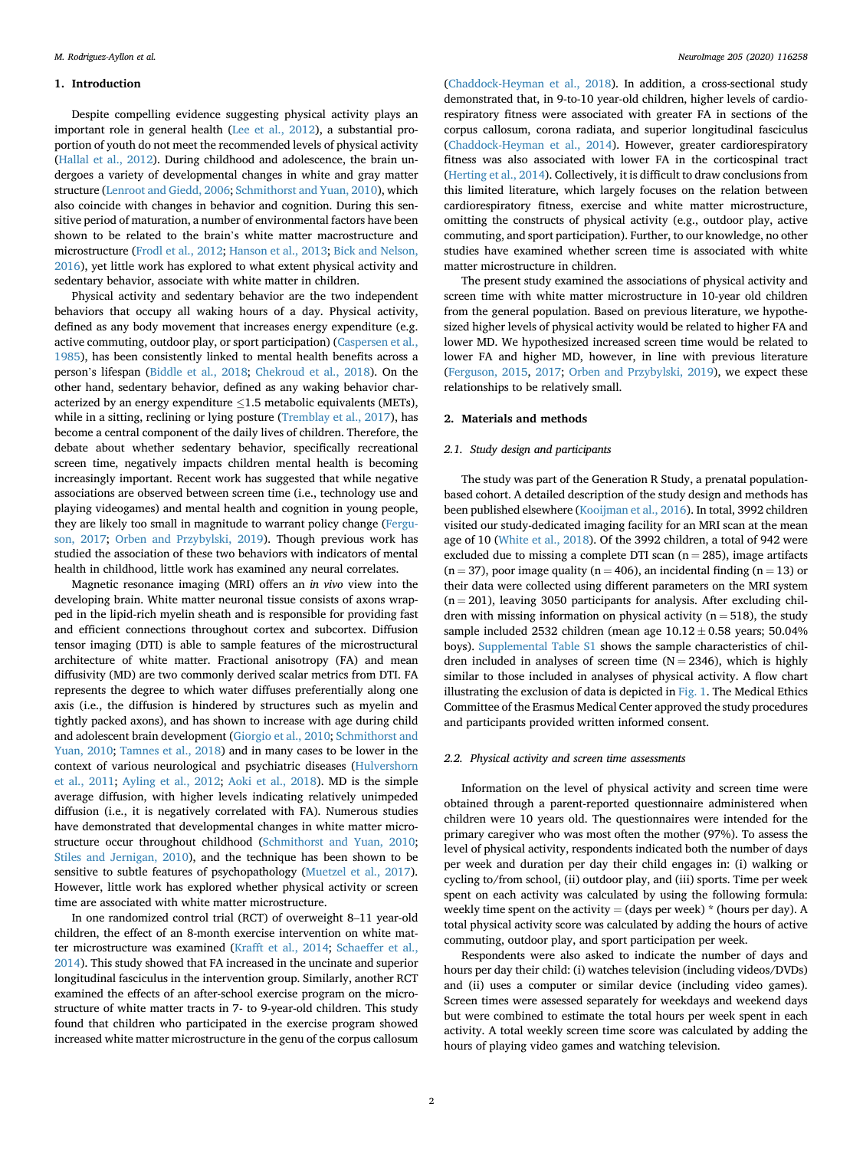#### 1. Introduction

Despite compelling evidence suggesting physical activity plays an important role in general health [\(Lee et al., 2012\)](#page-7-0), a substantial proportion of youth do not meet the recommended levels of physical activity ([Hallal et al., 2012\)](#page-7-0). During childhood and adolescence, the brain undergoes a variety of developmental changes in white and gray matter structure [\(Lenroot and Giedd, 2006;](#page-7-0) [Schmithorst and Yuan, 2010\)](#page-7-0), which also coincide with changes in behavior and cognition. During this sensitive period of maturation, a number of environmental factors have been shown to be related to the brain's white matter macrostructure and microstructure ([Frodl et al., 2012;](#page-7-0) [Hanson et al., 2013;](#page-7-0) [Bick and Nelson,](#page-6-0) [2016\)](#page-6-0), yet little work has explored to what extent physical activity and sedentary behavior, associate with white matter in children.

Physical activity and sedentary behavior are the two independent behaviors that occupy all waking hours of a day. Physical activity, defined as any body movement that increases energy expenditure (e.g. active commuting, outdoor play, or sport participation) ([Caspersen et al.,](#page-6-0) [1985\)](#page-6-0), has been consistently linked to mental health benefits across a person's lifespan [\(Biddle et al., 2018;](#page-6-0) [Chekroud et al., 2018](#page-7-0)). On the other hand, sedentary behavior, defined as any waking behavior characterized by an energy expenditure  $\leq$ 1.5 metabolic equivalents (METs), while in a sitting, reclining or lying posture ([Tremblay et al., 2017\)](#page-7-0), has become a central component of the daily lives of children. Therefore, the debate about whether sedentary behavior, specifically recreational screen time, negatively impacts children mental health is becoming increasingly important. Recent work has suggested that while negative associations are observed between screen time (i.e., technology use and playing videogames) and mental health and cognition in young people, they are likely too small in magnitude to warrant policy change [\(Fergu](#page-7-0)[son, 2017](#page-7-0); [Orben and Przybylski, 2019\)](#page-7-0). Though previous work has studied the association of these two behaviors with indicators of mental health in childhood, little work has examined any neural correlates.

Magnetic resonance imaging (MRI) offers an in vivo view into the developing brain. White matter neuronal tissue consists of axons wrapped in the lipid-rich myelin sheath and is responsible for providing fast and efficient connections throughout cortex and subcortex. Diffusion tensor imaging (DTI) is able to sample features of the microstructural architecture of white matter. Fractional anisotropy (FA) and mean diffusivity (MD) are two commonly derived scalar metrics from DTI. FA represents the degree to which water diffuses preferentially along one axis (i.e., the diffusion is hindered by structures such as myelin and tightly packed axons), and has shown to increase with age during child and adolescent brain development [\(Giorgio et al., 2010](#page-7-0); [Schmithorst and](#page-7-0) [Yuan, 2010](#page-7-0); [Tamnes et al., 2018\)](#page-7-0) and in many cases to be lower in the context of various neurological and psychiatric diseases [\(Hulvershorn](#page-7-0) [et al., 2011](#page-7-0); [Ayling et al., 2012](#page-6-0); [Aoki et al., 2018\)](#page-6-0). MD is the simple average diffusion, with higher levels indicating relatively unimpeded diffusion (i.e., it is negatively correlated with FA). Numerous studies have demonstrated that developmental changes in white matter microstructure occur throughout childhood [\(Schmithorst and Yuan, 2010;](#page-7-0) [Stiles and Jernigan, 2010](#page-7-0)), and the technique has been shown to be sensitive to subtle features of psychopathology [\(Muetzel et al., 2017\)](#page-7-0). However, little work has explored whether physical activity or screen time are associated with white matter microstructure.

In one randomized control trial (RCT) of overweight 8–11 year-old children, the effect of an 8-month exercise intervention on white matter microstructure was examined ([Krafft et al., 2014;](#page-7-0) [Schaeffer et al.,](#page-7-0) [2014\)](#page-7-0). This study showed that FA increased in the uncinate and superior longitudinal fasciculus in the intervention group. Similarly, another RCT examined the effects of an after-school exercise program on the microstructure of white matter tracts in 7- to 9-year-old children. This study found that children who participated in the exercise program showed increased white matter microstructure in the genu of the corpus callosum

([Chaddock-Heyman et al., 2018](#page-6-0)). In addition, a cross-sectional study demonstrated that, in 9-to-10 year-old children, higher levels of cardiorespiratory fitness were associated with greater FA in sections of the corpus callosum, corona radiata, and superior longitudinal fasciculus ([Chaddock-Heyman et al., 2014\)](#page-6-0). However, greater cardiorespiratory fitness was also associated with lower FA in the corticospinal tract ([Herting et al., 2014](#page-7-0)). Collectively, it is difficult to draw conclusions from this limited literature, which largely focuses on the relation between cardiorespiratory fitness, exercise and white matter microstructure, omitting the constructs of physical activity (e.g., outdoor play, active commuting, and sport participation). Further, to our knowledge, no other studies have examined whether screen time is associated with white matter microstructure in children.

The present study examined the associations of physical activity and screen time with white matter microstructure in 10-year old children from the general population. Based on previous literature, we hypothesized higher levels of physical activity would be related to higher FA and lower MD. We hypothesized increased screen time would be related to lower FA and higher MD, however, in line with previous literature ([Ferguson, 2015](#page-7-0), [2017;](#page-7-0) [Orben and Przybylski, 2019\)](#page-7-0), we expect these relationships to be relatively small.

# 2. Materials and methods

#### 2.1. Study design and participants

The study was part of the Generation R Study, a prenatal populationbased cohort. A detailed description of the study design and methods has been published elsewhere [\(Kooijman et al., 2016\)](#page-7-0). In total, 3992 children visited our study-dedicated imaging facility for an MRI scan at the mean age of 10 [\(White et al., 2018\)](#page-7-0). Of the 3992 children, a total of 942 were excluded due to missing a complete DTI scan  $(n = 285)$ , image artifacts  $(n = 37)$ , poor image quality  $(n = 406)$ , an incidental finding  $(n = 13)$  or their data were collected using different parameters on the MRI system  $(n = 201)$ , leaving 3050 participants for analysis. After excluding children with missing information on physical activity ( $n = 518$ ), the study sample included 2532 children (mean age  $10.12 \pm 0.58$  years; 50.04% boys). Supplemental Table S1 shows the sample characteristics of children included in analyses of screen time  $(N = 2346)$ , which is highly similar to those included in analyses of physical activity. A flow chart illustrating the exclusion of data is depicted in [Fig. 1.](#page-2-0) The Medical Ethics Committee of the Erasmus Medical Center approved the study procedures and participants provided written informed consent.

#### 2.2. Physical activity and screen time assessments

Information on the level of physical activity and screen time were obtained through a parent-reported questionnaire administered when children were 10 years old. The questionnaires were intended for the primary caregiver who was most often the mother (97%). To assess the level of physical activity, respondents indicated both the number of days per week and duration per day their child engages in: (i) walking or cycling to/from school, (ii) outdoor play, and (iii) sports. Time per week spent on each activity was calculated by using the following formula: weekly time spent on the activity  $=$  (days per week)  $*$  (hours per day). A total physical activity score was calculated by adding the hours of active commuting, outdoor play, and sport participation per week.

Respondents were also asked to indicate the number of days and hours per day their child: (i) watches television (including videos/DVDs) and (ii) uses a computer or similar device (including video games). Screen times were assessed separately for weekdays and weekend days but were combined to estimate the total hours per week spent in each activity. A total weekly screen time score was calculated by adding the hours of playing video games and watching television.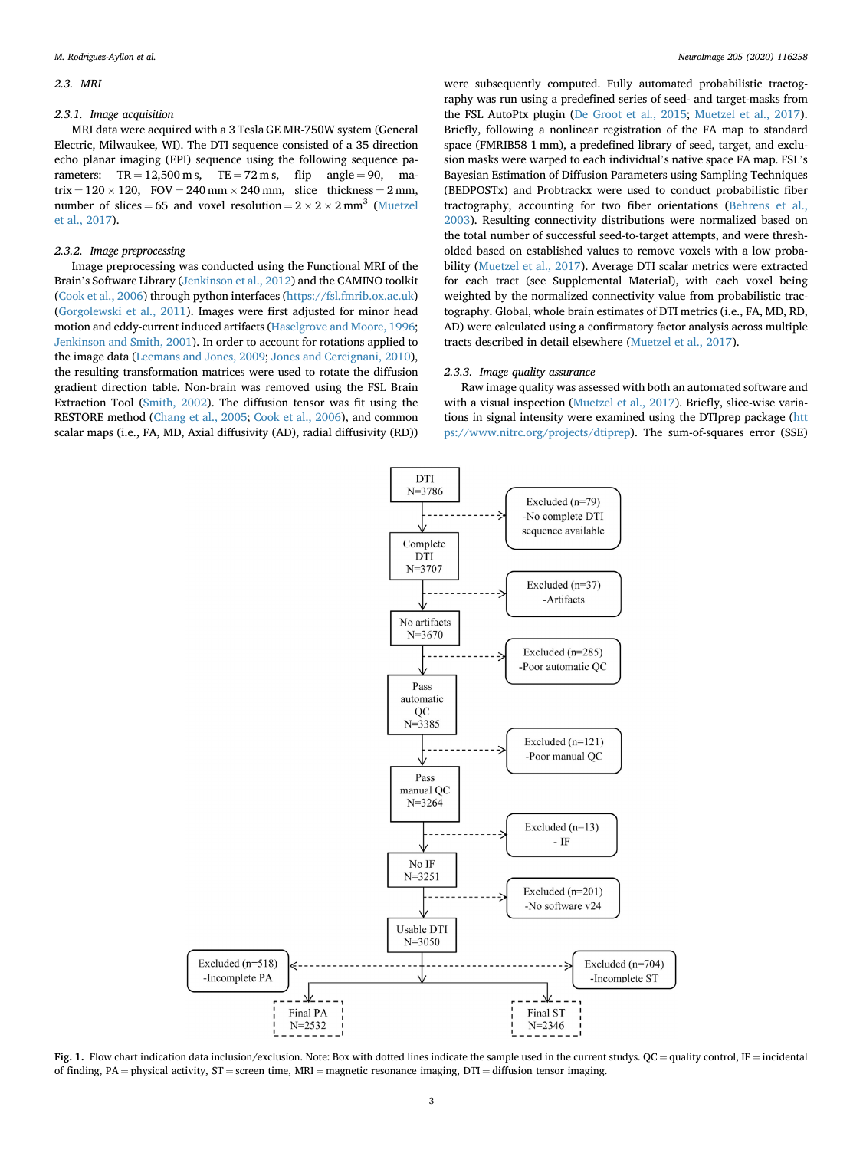#### <span id="page-2-0"></span>2.3. MRI

#### 2.3.1. Image acquisition

MRI data were acquired with a 3 Tesla GE MR-750W system (General Electric, Milwaukee, WI). The DTI sequence consisted of a 35 direction echo planar imaging (EPI) sequence using the following sequence parameters:  $TR = 12,500$  m s,  $TE = 72$  m s, flip angle = 90, matrix =  $120 \times 120$ , FOV = 240 mm  $\times$  240 mm, slice thickness = 2 mm, number of slices = 65 and voxel resolution =  $2 \times 2 \times 2$  mm<sup>3</sup> ([Muetzel](#page-7-0) [et al., 2017](#page-7-0)).

#### 2.3.2. Image preprocessing

Image preprocessing was conducted using the Functional MRI of the Brain's Software Library ([Jenkinson et al., 2012\)](#page-7-0) and the CAMINO toolkit ([Cook et al., 2006\)](#page-7-0) through python interfaces [\(https://fsl.fmrib.ox.ac.uk\)](https://fsl.fmrib.ox.ac.uk) ([Gorgolewski et al., 2011\)](#page-7-0). Images were first adjusted for minor head motion and eddy-current induced artifacts [\(Haselgrove and Moore, 1996;](#page-7-0) [Jenkinson and Smith, 2001\)](#page-7-0). In order to account for rotations applied to the image data [\(Leemans and Jones, 2009](#page-7-0); [Jones and Cercignani, 2010\)](#page-7-0), the resulting transformation matrices were used to rotate the diffusion gradient direction table. Non-brain was removed using the FSL Brain Extraction Tool ([Smith, 2002\)](#page-7-0). The diffusion tensor was fit using the RESTORE method [\(Chang et al., 2005;](#page-7-0) [Cook et al., 2006\)](#page-7-0), and common scalar maps (i.e., FA, MD, Axial diffusivity (AD), radial diffusivity (RD))

were subsequently computed. Fully automated probabilistic tractography was run using a predefined series of seed- and target-masks from the FSL AutoPtx plugin ([De Groot et al., 2015](#page-7-0); [Muetzel et al., 2017\)](#page-7-0). Briefly, following a nonlinear registration of the FA map to standard space (FMRIB58 1 mm), a predefined library of seed, target, and exclusion masks were warped to each individual's native space FA map. FSL'<sup>s</sup> Bayesian Estimation of Diffusion Parameters using Sampling Techniques (BEDPOSTx) and Probtrackx were used to conduct probabilistic fiber tractography, accounting for two fiber orientations [\(Behrens et al.,](#page-6-0) [2003\)](#page-6-0). Resulting connectivity distributions were normalized based on the total number of successful seed-to-target attempts, and were thresholded based on established values to remove voxels with a low probability [\(Muetzel et al., 2017](#page-7-0)). Average DTI scalar metrics were extracted for each tract (see Supplemental Material), with each voxel being weighted by the normalized connectivity value from probabilistic tractography. Global, whole brain estimates of DTI metrics (i.e., FA, MD, RD, AD) were calculated using a confirmatory factor analysis across multiple tracts described in detail elsewhere [\(Muetzel et al., 2017](#page-7-0)).

# 2.3.3. Image quality assurance

Raw image quality was assessed with both an automated software and with a visual inspection ([Muetzel et al., 2017](#page-7-0)). Briefly, slice-wise variations in signal intensity were examined using the DTIprep package ([htt](https://www.nitrc.org/projects/dtiprep) [ps://www.nitrc.org/projects/dtiprep](https://www.nitrc.org/projects/dtiprep)). The sum-of-squares error (SSE)



Fig. 1. Flow chart indication data inclusion/exclusion. Note: Box with dotted lines indicate the sample used in the current studys. QC = quality control, IF = incidental of finding, PA = physical activity,  $ST$  = screen time, MRI = magnetic resonance imaging,  $DTI$  = diffusion tensor imaging.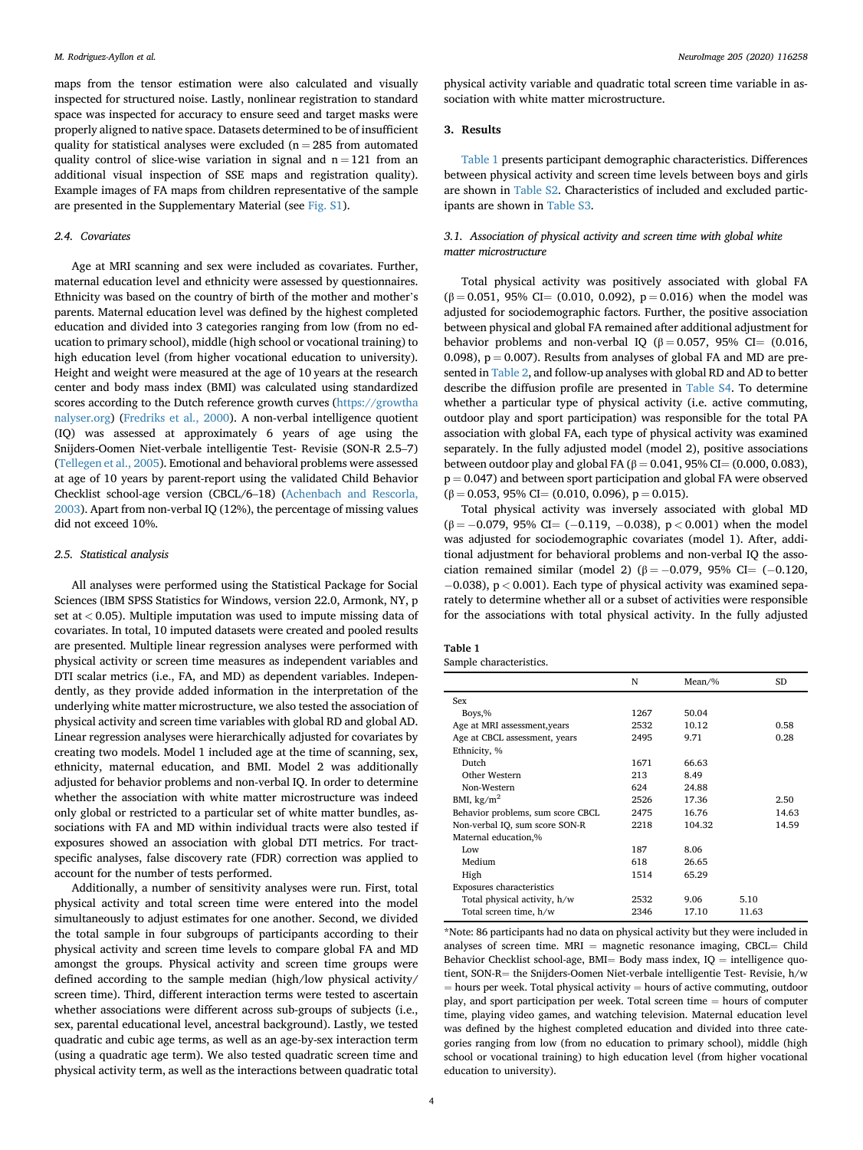maps from the tensor estimation were also calculated and visually inspected for structured noise. Lastly, nonlinear registration to standard space was inspected for accuracy to ensure seed and target masks were properly aligned to native space. Datasets determined to be of insufficient quality for statistical analyses were excluded ( $n = 285$  from automated quality control of slice-wise variation in signal and  $n = 121$  from an additional visual inspection of SSE maps and registration quality). Example images of FA maps from children representative of the sample are presented in the Supplementary Material (see Fig. S1).

# 2.4. Covariates

Age at MRI scanning and sex were included as covariates. Further, maternal education level and ethnicity were assessed by questionnaires. Ethnicity was based on the country of birth of the mother and mother'<sup>s</sup> parents. Maternal education level was defined by the highest completed education and divided into 3 categories ranging from low (from no education to primary school), middle (high school or vocational training) to high education level (from higher vocational education to university). Height and weight were measured at the age of 10 years at the research center and body mass index (BMI) was calculated using standardized scores according to the Dutch reference growth curves [\(https://growtha](https://growthanalyser.org) [nalyser.org](https://growthanalyser.org)) [\(Fredriks et al., 2000](#page-7-0)). A non-verbal intelligence quotient (IQ) was assessed at approximately 6 years of age using the Snijders-Oomen Niet-verbale intelligentie Test- Revisie (SON-R 2.5–7) ([Tellegen et al., 2005](#page-7-0)). Emotional and behavioral problems were assessed at age of 10 years by parent-report using the validated Child Behavior Checklist school-age version (CBCL/6–18) [\(Achenbach and Rescorla,](#page-6-0) [2003\)](#page-6-0). Apart from non-verbal IQ (12%), the percentage of missing values did not exceed 10%.

#### 2.5. Statistical analysis

All analyses were performed using the Statistical Package for Social Sciences (IBM SPSS Statistics for Windows, version 22.0, Armonk, NY, p set at  $< 0.05$ ). Multiple imputation was used to impute missing data of covariates. In total, 10 imputed datasets were created and pooled results are presented. Multiple linear regression analyses were performed with physical activity or screen time measures as independent variables and DTI scalar metrics (i.e., FA, and MD) as dependent variables. Independently, as they provide added information in the interpretation of the underlying white matter microstructure, we also tested the association of physical activity and screen time variables with global RD and global AD. Linear regression analyses were hierarchically adjusted for covariates by creating two models. Model 1 included age at the time of scanning, sex, ethnicity, maternal education, and BMI. Model 2 was additionally adjusted for behavior problems and non-verbal IQ. In order to determine whether the association with white matter microstructure was indeed only global or restricted to a particular set of white matter bundles, associations with FA and MD within individual tracts were also tested if exposures showed an association with global DTI metrics. For tractspecific analyses, false discovery rate (FDR) correction was applied to account for the number of tests performed.

Additionally, a number of sensitivity analyses were run. First, total physical activity and total screen time were entered into the model simultaneously to adjust estimates for one another. Second, we divided the total sample in four subgroups of participants according to their physical activity and screen time levels to compare global FA and MD amongst the groups. Physical activity and screen time groups were defined according to the sample median (high/low physical activity/ screen time). Third, different interaction terms were tested to ascertain whether associations were different across sub-groups of subjects (i.e., sex, parental educational level, ancestral background). Lastly, we tested quadratic and cubic age terms, as well as an age-by-sex interaction term (using a quadratic age term). We also tested quadratic screen time and physical activity term, as well as the interactions between quadratic total physical activity variable and quadratic total screen time variable in association with white matter microstructure.

# 3. Results

Table 1 presents participant demographic characteristics. Differences between physical activity and screen time levels between boys and girls are shown in Table S2. Characteristics of included and excluded participants are shown in Table S3.

# 3.1. Association of physical activity and screen time with global white matter microstructure

Total physical activity was positively associated with global FA  $(\beta = 0.051, 95\% \text{ CI} = (0.010, 0.092), p = 0.016)$  when the model was adjusted for sociodemographic factors. Further, the positive association between physical and global FA remained after additional adjustment for behavior problems and non-verbal IQ ( $\beta = 0.057$ , 95% CI= (0.016, 0.098),  $p = 0.007$ . Results from analyses of global FA and MD are presented in [Table 2,](#page-4-0) and follow-up analyses with global RD and AD to better describe the diffusion profile are presented in Table S4. To determine whether a particular type of physical activity (i.e. active commuting, outdoor play and sport participation) was responsible for the total PA association with global FA, each type of physical activity was examined separately. In the fully adjusted model (model 2), positive associations between outdoor play and global FA (β = 0.041, 95% CI = (0.000, 0.083),  $p = 0.047$ ) and between sport participation and global FA were observed  $(\beta = 0.053, 95\% \text{ CI} = (0.010, 0.096), p = 0.015).$ 

Total physical activity was inversely associated with global MD  $(\beta = -0.079, 95\% \text{ CI} = (-0.119, -0.038), p < 0.001)$  when the model was adjusted for sociodemographic covariates (model 1). After, additional adjustment for behavioral problems and non-verbal IQ the association remained similar (model 2) ( $\beta = -0.079$ , 95% CI= (-0.120,  $-0.038$ ), p < 0.001). Each type of physical activity was examined separately to determine whether all or a subset of activities were responsible for the associations with total physical activity. In the fully adjusted

| Table 1 |                         |
|---------|-------------------------|
|         | Sample characteristics. |

|                                   | N    | $Mean\%$ |       | SD    |
|-----------------------------------|------|----------|-------|-------|
| Sex                               |      |          |       |       |
| Boys,%                            | 1267 | 50.04    |       |       |
| Age at MRI assessment, years      | 2532 | 10.12    |       | 0.58  |
| Age at CBCL assessment, years     | 2495 | 9.71     |       | 0.28  |
| Ethnicity, %                      |      |          |       |       |
| Dutch                             | 1671 | 66.63    |       |       |
| Other Western                     | 213  | 8.49     |       |       |
| Non-Western                       | 624  | 24.88    |       |       |
| BMI, $\text{kg/m}^2$              | 2526 | 17.36    |       | 2.50  |
| Behavior problems, sum score CBCL | 2475 | 16.76    |       | 14.63 |
| Non-verbal IQ, sum score SON-R    | 2218 | 104.32   |       | 14.59 |
| Maternal education,%              |      |          |       |       |
| Low                               | 187  | 8.06     |       |       |
| Medium                            | 618  | 26.65    |       |       |
| High                              | 1514 | 65.29    |       |       |
| Exposures characteristics         |      |          |       |       |
| Total physical activity, h/w      | 2532 | 9.06     | 5.10  |       |
| Total screen time, h/w            | 2346 | 17.10    | 11.63 |       |

\*Note: 86 participants had no data on physical activity but they were included in analyses of screen time.  $MRI$  = magnetic resonance imaging, CBCL= Child Behavior Checklist school-age, BMI= Body mass index,  $IQ =$  intelligence quotient, SON-R= the Snijders-Oomen Niet-verbale intelligentie Test- Revisie, h/w  $h =$  hours per week. Total physical activity  $=$  hours of active commuting, outdoor play, and sport participation per week. Total screen time  $=$  hours of computer time, playing video games, and watching television. Maternal education level was defined by the highest completed education and divided into three categories ranging from low (from no education to primary school), middle (high school or vocational training) to high education level (from higher vocational education to university).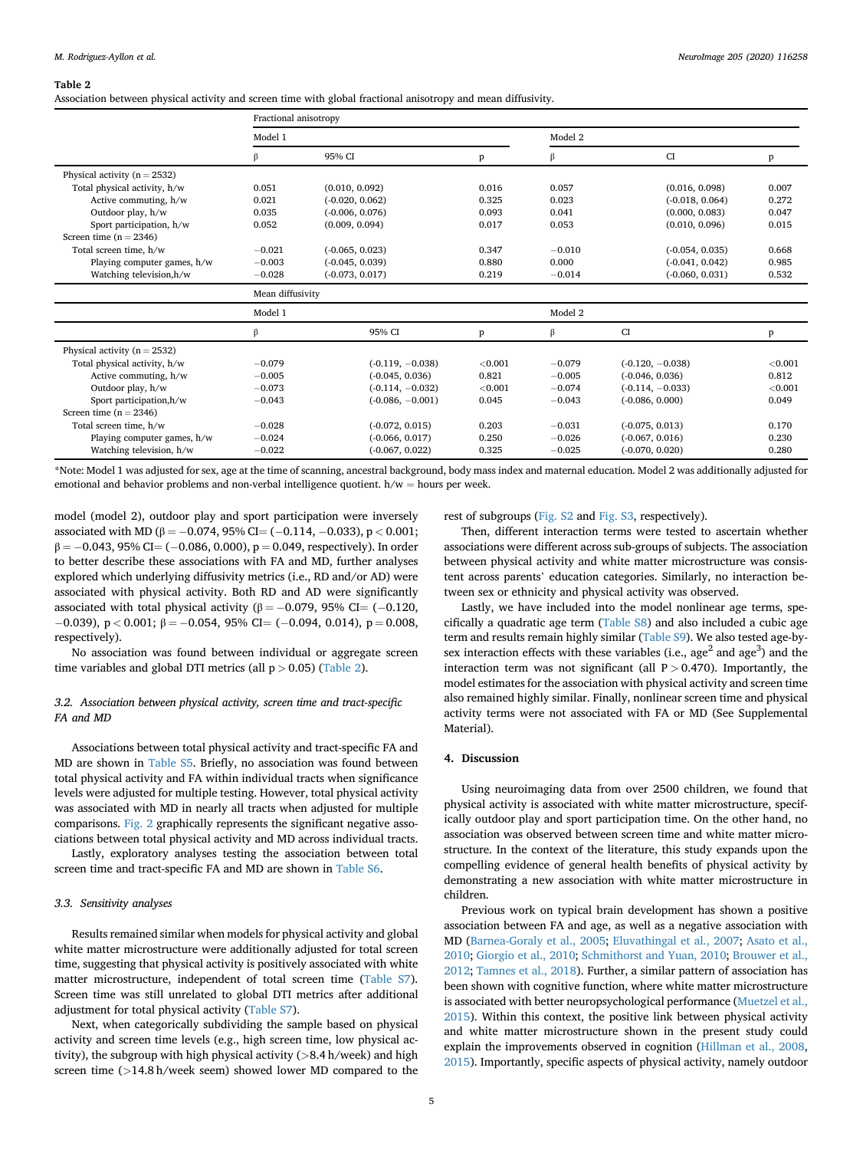#### <span id="page-4-0"></span>Table 2

Association between physical activity and screen time with global fractional anisotropy and mean diffusivity.

|                                  | Fractional anisotropy |                    |         |          |                    |         |  |  |  |
|----------------------------------|-----------------------|--------------------|---------|----------|--------------------|---------|--|--|--|
|                                  | Model 1               |                    |         | Model 2  |                    |         |  |  |  |
|                                  | β                     | 95% CI             | p       | β        | <b>CI</b>          | p       |  |  |  |
| Physical activity ( $n = 2532$ ) |                       |                    |         |          |                    |         |  |  |  |
| Total physical activity, h/w     | 0.051                 | (0.010, 0.092)     | 0.016   | 0.057    | (0.016, 0.098)     | 0.007   |  |  |  |
| Active commuting, h/w            | 0.021                 | $(-0.020, 0.062)$  | 0.325   | 0.023    | $(-0.018, 0.064)$  | 0.272   |  |  |  |
| Outdoor play, h/w                | 0.035                 | $(-0.006, 0.076)$  | 0.093   | 0.041    | (0.000, 0.083)     | 0.047   |  |  |  |
| Sport participation, h/w         | 0.052                 | (0.009, 0.094)     | 0.017   | 0.053    | (0.010, 0.096)     | 0.015   |  |  |  |
| Screen time $(n = 2346)$         |                       |                    |         |          |                    |         |  |  |  |
| Total screen time, h/w           | $-0.021$              | $(-0.065, 0.023)$  | 0.347   | $-0.010$ | $(-0.054, 0.035)$  | 0.668   |  |  |  |
| Playing computer games, h/w      | $-0.003$              | $(-0.045, 0.039)$  | 0.880   | 0.000    | $(-0.041, 0.042)$  | 0.985   |  |  |  |
| Watching television, h/w         | $-0.028$              | $(-0.073, 0.017)$  | 0.219   | $-0.014$ | $(-0.060, 0.031)$  | 0.532   |  |  |  |
|                                  | Mean diffusivity      |                    |         |          |                    |         |  |  |  |
|                                  | Model 1               |                    |         |          | Model 2            |         |  |  |  |
|                                  | β                     | 95% CI             | p       | β        | CI                 | P       |  |  |  |
| Physical activity ( $n = 2532$ ) |                       |                    |         |          |                    |         |  |  |  |
| Total physical activity, h/w     | $-0.079$              | $(-0.119, -0.038)$ | < 0.001 | $-0.079$ | $(-0.120, -0.038)$ | < 0.001 |  |  |  |
| Active commuting, h/w            | $-0.005$              | $(-0.045, 0.036)$  | 0.821   | $-0.005$ | $(-0.046, 0.036)$  | 0.812   |  |  |  |
| Outdoor play, h/w                | $-0.073$              | $(-0.114, -0.032)$ | < 0.001 | $-0.074$ | $(-0.114, -0.033)$ | < 0.001 |  |  |  |
| Sport participation, h/w         | $-0.043$              | $(-0.086, -0.001)$ | 0.045   | $-0.043$ | $(-0.086, 0.000)$  | 0.049   |  |  |  |
| Screen time $(n = 2346)$         |                       |                    |         |          |                    |         |  |  |  |
| Total screen time, h/w           | $-0.028$              | $(-0.072, 0.015)$  | 0.203   | $-0.031$ | $(-0.075, 0.013)$  | 0.170   |  |  |  |
| Playing computer games, h/w      | $-0.024$              | $(-0.066, 0.017)$  | 0.250   | $-0.026$ | $(-0.067, 0.016)$  | 0.230   |  |  |  |
| Watching television, h/w         | $-0.022$              | $(-0.067, 0.022)$  | 0.325   | $-0.025$ | $(-0.070, 0.020)$  | 0.280   |  |  |  |

\*Note: Model 1 was adjusted for sex, age at the time of scanning, ancestral background, body mass index and maternal education. Model 2 was additionally adjusted for emotional and behavior problems and non-verbal intelligence quotient.  $h/w =$  hours per week.

model (model 2), outdoor play and sport participation were inversely associated with MD ( $\beta = -0.074$ , 95% CI= (-0.114, -0.033), p < 0.001;  $\beta = -0.043$ , 95% CI= (-0.086, 0.000), p = 0.049, respectively). In order to better describe these associations with FA and MD, further analyses explored which underlying diffusivity metrics (i.e., RD and/or AD) were associated with physical activity. Both RD and AD were significantly associated with total physical activity ( $β = -0.079$ , 95% CI= (-0.120,  $-0.039$ ,  $p < 0.001$ ;  $\beta = -0.054$ , 95% CI= (-0.094, 0.014),  $p = 0.008$ , respectively).

No association was found between individual or aggregate screen time variables and global DTI metrics (all  $p > 0.05$ ) (Table 2).

# 3.2. Association between physical activity, screen time and tract-specific FA and MD

Associations between total physical activity and tract-specific FA and MD are shown in Table S5. Briefly, no association was found between total physical activity and FA within individual tracts when significance levels were adjusted for multiple testing. However, total physical activity was associated with MD in nearly all tracts when adjusted for multiple comparisons. [Fig. 2](#page-5-0) graphically represents the significant negative associations between total physical activity and MD across individual tracts.

Lastly, exploratory analyses testing the association between total screen time and tract-specific FA and MD are shown in Table S6.

# 3.3. Sensitivity analyses

Results remained similar when models for physical activity and global white matter microstructure were additionally adjusted for total screen time, suggesting that physical activity is positively associated with white matter microstructure, independent of total screen time (Table S7). Screen time was still unrelated to global DTI metrics after additional adjustment for total physical activity (Table S7).

Next, when categorically subdividing the sample based on physical activity and screen time levels (e.g., high screen time, low physical activity), the subgroup with high physical activity ( $>8.4$  h/week) and high screen time (>14.8 h/week seem) showed lower MD compared to the

rest of subgroups (Fig. S2 and Fig. S3, respectively).

Then, different interaction terms were tested to ascertain whether associations were different across sub-groups of subjects. The association between physical activity and white matter microstructure was consistent across parents' education categories. Similarly, no interaction between sex or ethnicity and physical activity was observed.

Lastly, we have included into the model nonlinear age terms, specifically a quadratic age term (Table S8) and also included a cubic age term and results remain highly similar (Table S9). We also tested age-bysex interaction effects with these variables (i.e., age<sup>2</sup> and age<sup>3</sup>) and the interaction term was not significant (all  $P > 0.470$ ). Importantly, the model estimates for the association with physical activity and screen time also remained highly similar. Finally, nonlinear screen time and physical activity terms were not associated with FA or MD (See Supplemental Material).

# 4. Discussion

Using neuroimaging data from over 2500 children, we found that physical activity is associated with white matter microstructure, specifically outdoor play and sport participation time. On the other hand, no association was observed between screen time and white matter microstructure. In the context of the literature, this study expands upon the compelling evidence of general health benefits of physical activity by demonstrating a new association with white matter microstructure in children.

Previous work on typical brain development has shown a positive association between FA and age, as well as a negative association with MD ([Barnea-Goraly et al., 2005](#page-6-0); [Eluvathingal et al., 2007;](#page-7-0) [Asato et al.,](#page-6-0) [2010;](#page-6-0) [Giorgio et al., 2010](#page-7-0); [Schmithorst and Yuan, 2010](#page-7-0); [Brouwer et al.,](#page-6-0) [2012;](#page-6-0) [Tamnes et al., 2018\)](#page-7-0). Further, a similar pattern of association has been shown with cognitive function, where white matter microstructure is associated with better neuropsychological performance [\(Muetzel et al.,](#page-7-0) [2015\)](#page-7-0). Within this context, the positive link between physical activity and white matter microstructure shown in the present study could explain the improvements observed in cognition ([Hillman et al., 2008,](#page-7-0) [2015\)](#page-7-0). Importantly, specific aspects of physical activity, namely outdoor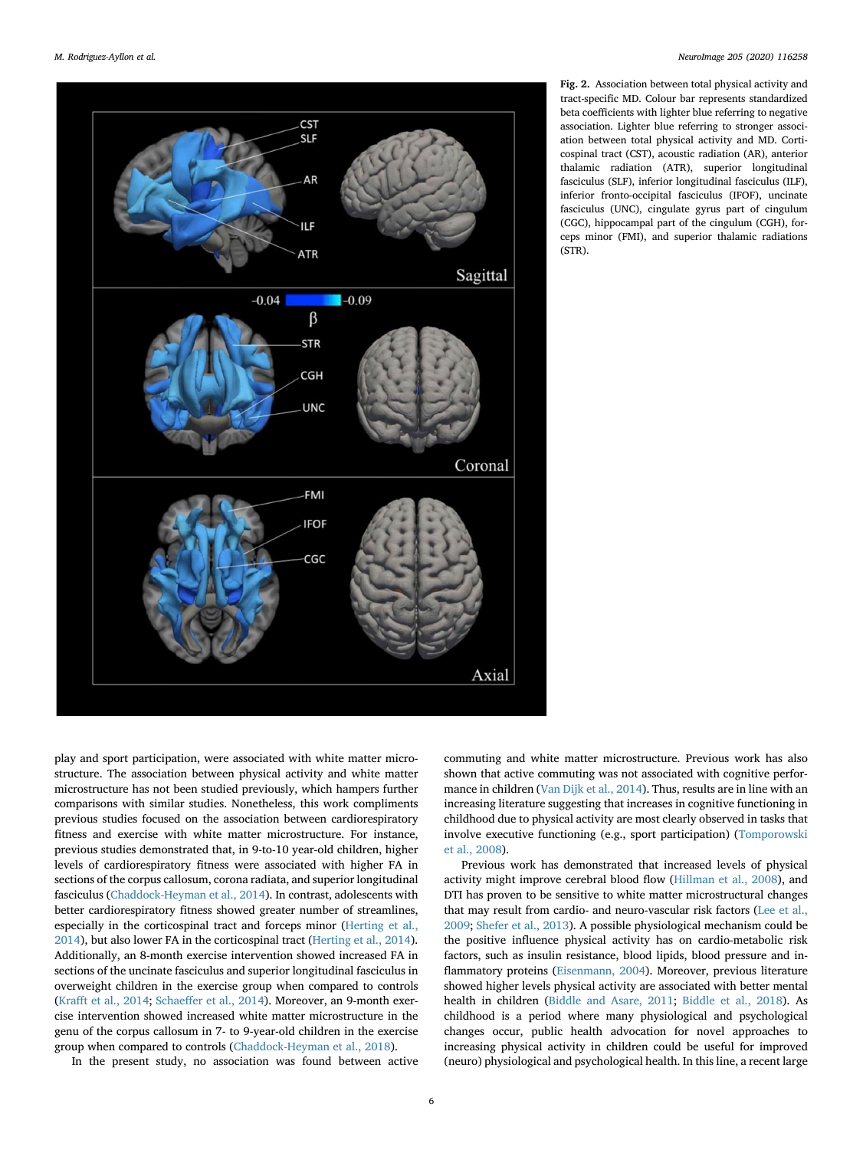<span id="page-5-0"></span>

Fig. 2. Association between total physical activity and tract-specific MD. Colour bar represents standardized beta coefficients with lighter blue referring to negative association. Lighter blue referring to stronger association between total physical activity and MD. Corticospinal tract (CST), acoustic radiation (AR), anterior thalamic radiation (ATR), superior longitudinal fasciculus (SLF), inferior longitudinal fasciculus (ILF), inferior fronto-occipital fasciculus (IFOF), uncinate fasciculus (UNC), cingulate gyrus part of cingulum (CGC), hippocampal part of the cingulum (CGH), forceps minor (FMI), and superior thalamic radiations (STR).

play and sport participation, were associated with white matter microstructure. The association between physical activity and white matter microstructure has not been studied previously, which hampers further comparisons with similar studies. Nonetheless, this work compliments previous studies focused on the association between cardiorespiratory fitness and exercise with white matter microstructure. For instance, previous studies demonstrated that, in 9-to-10 year-old children, higher levels of cardiorespiratory fitness were associated with higher FA in sections of the corpus callosum, corona radiata, and superior longitudinal fasciculus [\(Chaddock-Heyman et al., 2014](#page-6-0)). In contrast, adolescents with better cardiorespiratory fitness showed greater number of streamlines, especially in the corticospinal tract and forceps minor [\(Herting et al.,](#page-7-0) [2014\)](#page-7-0), but also lower FA in the corticospinal tract ([Herting et al., 2014\)](#page-7-0). Additionally, an 8-month exercise intervention showed increased FA in sections of the uncinate fasciculus and superior longitudinal fasciculus in overweight children in the exercise group when compared to controls ([Krafft et al., 2014;](#page-7-0) [Schaeffer et al., 2014](#page-7-0)). Moreover, an 9-month exercise intervention showed increased white matter microstructure in the genu of the corpus callosum in 7- to 9-year-old children in the exercise group when compared to controls [\(Chaddock-Heyman et al., 2018\)](#page-6-0).

In the present study, no association was found between active

commuting and white matter microstructure. Previous work has also shown that active commuting was not associated with cognitive performance in children [\(Van Dijk et al., 2014](#page-7-0)). Thus, results are in line with an increasing literature suggesting that increases in cognitive functioning in childhood due to physical activity are most clearly observed in tasks that involve executive functioning (e.g., sport participation) ([Tomporowski](#page-7-0) [et al., 2008](#page-7-0)).

Previous work has demonstrated that increased levels of physical activity might improve cerebral blood flow [\(Hillman et al., 2008\)](#page-7-0), and DTI has proven to be sensitive to white matter microstructural changes that may result from cardio- and neuro-vascular risk factors [\(Lee et al.,](#page-7-0) [2009;](#page-7-0) [Shefer et al., 2013\)](#page-7-0). A possible physiological mechanism could be the positive influence physical activity has on cardio-metabolic risk factors, such as insulin resistance, blood lipids, blood pressure and inflammatory proteins [\(Eisenmann, 2004](#page-7-0)). Moreover, previous literature showed higher levels physical activity are associated with better mental health in children ([Biddle and Asare, 2011](#page-6-0); [Biddle et al., 2018](#page-6-0)). As childhood is a period where many physiological and psychological changes occur, public health advocation for novel approaches to increasing physical activity in children could be useful for improved (neuro) physiological and psychological health. In this line, a recent large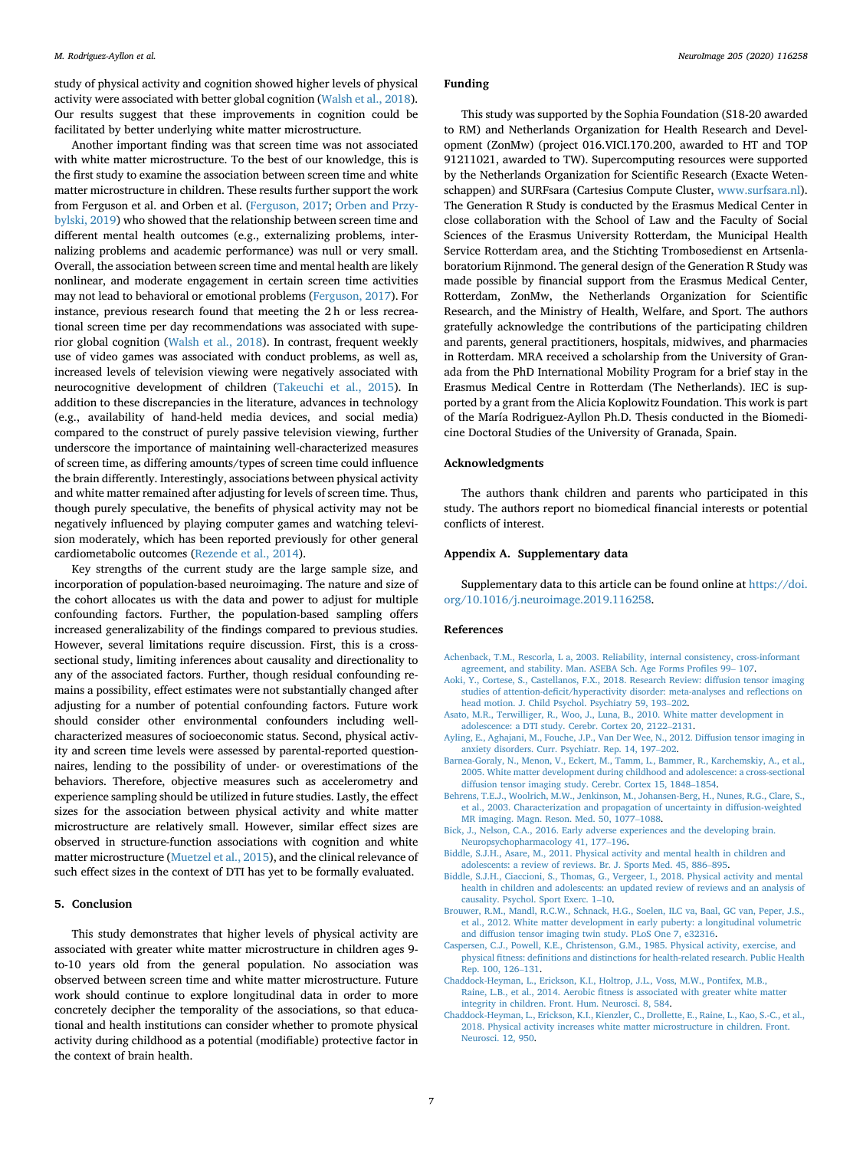<span id="page-6-0"></span>study of physical activity and cognition showed higher levels of physical activity were associated with better global cognition ([Walsh et al., 2018\)](#page-7-0). Our results suggest that these improvements in cognition could be facilitated by better underlying white matter microstructure.

Another important finding was that screen time was not associated with white matter microstructure. To the best of our knowledge, this is the first study to examine the association between screen time and white matter microstructure in children. These results further support the work from Ferguson et al. and Orben et al. ([Ferguson, 2017;](#page-7-0) [Orben and Przy](#page-7-0)[bylski, 2019](#page-7-0)) who showed that the relationship between screen time and different mental health outcomes (e.g., externalizing problems, internalizing problems and academic performance) was null or very small. Overall, the association between screen time and mental health are likely nonlinear, and moderate engagement in certain screen time activities may not lead to behavioral or emotional problems [\(Ferguson, 2017\)](#page-7-0). For instance, previous research found that meeting the 2 h or less recreational screen time per day recommendations was associated with superior global cognition [\(Walsh et al., 2018](#page-7-0)). In contrast, frequent weekly use of video games was associated with conduct problems, as well as, increased levels of television viewing were negatively associated with neurocognitive development of children ([Takeuchi et al., 2015](#page-7-0)). In addition to these discrepancies in the literature, advances in technology (e.g., availability of hand-held media devices, and social media) compared to the construct of purely passive television viewing, further underscore the importance of maintaining well-characterized measures of screen time, as differing amounts/types of screen time could influence the brain differently. Interestingly, associations between physical activity and white matter remained after adjusting for levels of screen time. Thus, though purely speculative, the benefits of physical activity may not be negatively influenced by playing computer games and watching television moderately, which has been reported previously for other general cardiometabolic outcomes ([Rezende et al., 2014](#page-7-0)).

Key strengths of the current study are the large sample size, and incorporation of population-based neuroimaging. The nature and size of the cohort allocates us with the data and power to adjust for multiple confounding factors. Further, the population-based sampling offers increased generalizability of the findings compared to previous studies. However, several limitations require discussion. First, this is a crosssectional study, limiting inferences about causality and directionality to any of the associated factors. Further, though residual confounding remains a possibility, effect estimates were not substantially changed after adjusting for a number of potential confounding factors. Future work should consider other environmental confounders including wellcharacterized measures of socioeconomic status. Second, physical activity and screen time levels were assessed by parental-reported questionnaires, lending to the possibility of under- or overestimations of the behaviors. Therefore, objective measures such as accelerometry and experience sampling should be utilized in future studies. Lastly, the effect sizes for the association between physical activity and white matter microstructure are relatively small. However, similar effect sizes are observed in structure-function associations with cognition and white matter microstructure [\(Muetzel et al., 2015\)](#page-7-0), and the clinical relevance of such effect sizes in the context of DTI has yet to be formally evaluated.

# 5. Conclusion

This study demonstrates that higher levels of physical activity are associated with greater white matter microstructure in children ages 9 to-10 years old from the general population. No association was observed between screen time and white matter microstructure. Future work should continue to explore longitudinal data in order to more concretely decipher the temporality of the associations, so that educational and health institutions can consider whether to promote physical activity during childhood as a potential (modifiable) protective factor in the context of brain health.

#### Funding

This study was supported by the Sophia Foundation (S18-20 awarded to RM) and Netherlands Organization for Health Research and Development (ZonMw) (project 016.VICI.170.200, awarded to HT and TOP 91211021, awarded to TW). Supercomputing resources were supported by the Netherlands Organization for Scientific Research (Exacte Wetenschappen) and SURFsara (Cartesius Compute Cluster, [www.surfsara.nl\)](https://www.surfsara.nl). The Generation R Study is conducted by the Erasmus Medical Center in close collaboration with the School of Law and the Faculty of Social Sciences of the Erasmus University Rotterdam, the Municipal Health Service Rotterdam area, and the Stichting Trombosedienst en Artsenlaboratorium Rijnmond. The general design of the Generation R Study was made possible by financial support from the Erasmus Medical Center, Rotterdam, ZonMw, the Netherlands Organization for Scientific Research, and the Ministry of Health, Welfare, and Sport. The authors gratefully acknowledge the contributions of the participating children and parents, general practitioners, hospitals, midwives, and pharmacies in Rotterdam. MRA received a scholarship from the University of Granada from the PhD International Mobility Program for a brief stay in the Erasmus Medical Centre in Rotterdam (The Netherlands). IEC is supported by a grant from the Alicia Koplowitz Foundation. This work is part of the María Rodriguez-Ayllon Ph.D. Thesis conducted in the Biomedicine Doctoral Studies of the University of Granada, Spain.

#### Acknowledgments

The authors thank children and parents who participated in this study. The authors report no biomedical financial interests or potential conflicts of interest.

#### Appendix A. Supplementary data

Supplementary data to this article can be found online at [https://doi.](https://doi.org/10.1016/j.neuroimage.2019.116258) [org/10.1016/j.neuroimage.2019.116258.](https://doi.org/10.1016/j.neuroimage.2019.116258)

#### References

[Achenback, T.M., Rescorla, L a, 2003. Reliability, internal consistency, cross-informant](http://refhub.elsevier.com/S1053-8119(19)30849-3/sref1) [agreement, and stability. Man. ASEBA Sch. Age Forms Pro](http://refhub.elsevier.com/S1053-8119(19)30849-3/sref1)files 99– [107.](http://refhub.elsevier.com/S1053-8119(19)30849-3/sref1)

- [Aoki, Y., Cortese, S., Castellanos, F.X., 2018. Research Review: diffusion tensor imaging](http://refhub.elsevier.com/S1053-8119(19)30849-3/sref2) studies of attention-defi[cit/hyperactivity disorder: meta-analyses and re](http://refhub.elsevier.com/S1053-8119(19)30849-3/sref2)flections on [head motion. J. Child Psychol. Psychiatry 59, 193](http://refhub.elsevier.com/S1053-8119(19)30849-3/sref2)–[202](http://refhub.elsevier.com/S1053-8119(19)30849-3/sref2).
- [Asato, M.R., Terwilliger, R., Woo, J., Luna, B., 2010. White matter development in](http://refhub.elsevier.com/S1053-8119(19)30849-3/sref3) [adolescence: a DTI study. Cerebr. Cortex 20, 2122](http://refhub.elsevier.com/S1053-8119(19)30849-3/sref3)–[2131](http://refhub.elsevier.com/S1053-8119(19)30849-3/sref3).
- [Ayling, E., Aghajani, M., Fouche, J.P., Van Der Wee, N., 2012. Diffusion tensor imaging in](http://refhub.elsevier.com/S1053-8119(19)30849-3/sref4) [anxiety disorders. Curr. Psychiatr. Rep. 14, 197](http://refhub.elsevier.com/S1053-8119(19)30849-3/sref4)–[202](http://refhub.elsevier.com/S1053-8119(19)30849-3/sref4).
- [Barnea-Goraly, N., Menon, V., Eckert, M., Tamm, L., Bammer, R., Karchemskiy, A., et al.,](http://refhub.elsevier.com/S1053-8119(19)30849-3/sref5) [2005. White matter development during childhood and adolescence: a cross-sectional](http://refhub.elsevier.com/S1053-8119(19)30849-3/sref5) [diffusion tensor imaging study. Cerebr. Cortex 15, 1848](http://refhub.elsevier.com/S1053-8119(19)30849-3/sref5)–[1854.](http://refhub.elsevier.com/S1053-8119(19)30849-3/sref5)
- [Behrens, T.E.J., Woolrich, M.W., Jenkinson, M., Johansen-Berg, H., Nunes, R.G., Clare, S.,](http://refhub.elsevier.com/S1053-8119(19)30849-3/sref6) [et al., 2003. Characterization and propagation of uncertainty in diffusion-weighted](http://refhub.elsevier.com/S1053-8119(19)30849-3/sref6) [MR imaging. Magn. Reson. Med. 50, 1077](http://refhub.elsevier.com/S1053-8119(19)30849-3/sref6)–[1088](http://refhub.elsevier.com/S1053-8119(19)30849-3/sref6).
- [Bick, J., Nelson, C.A., 2016. Early adverse experiences and the developing brain.](http://refhub.elsevier.com/S1053-8119(19)30849-3/sref7) [Neuropsychopharmacology 41, 177](http://refhub.elsevier.com/S1053-8119(19)30849-3/sref7)–[196.](http://refhub.elsevier.com/S1053-8119(19)30849-3/sref7)
- [Biddle, S.J.H., Asare, M., 2011. Physical activity and mental health in children and](http://refhub.elsevier.com/S1053-8119(19)30849-3/sref8) [adolescents: a review of reviews. Br. J. Sports Med. 45, 886](http://refhub.elsevier.com/S1053-8119(19)30849-3/sref8)–[895](http://refhub.elsevier.com/S1053-8119(19)30849-3/sref8).
- [Biddle, S.J.H., Ciaccioni, S., Thomas, G., Vergeer, I., 2018. Physical activity and mental](http://refhub.elsevier.com/S1053-8119(19)30849-3/sref9) [health in children and adolescents: an updated review of reviews and an analysis of](http://refhub.elsevier.com/S1053-8119(19)30849-3/sref9) [causality. Psychol. Sport Exerc. 1](http://refhub.elsevier.com/S1053-8119(19)30849-3/sref9)–[10](http://refhub.elsevier.com/S1053-8119(19)30849-3/sref9).
- [Brouwer, R.M., Mandl, R.C.W., Schnack, H.G., Soelen, ILC va, Baal, GC van, Peper, J.S.,](http://refhub.elsevier.com/S1053-8119(19)30849-3/sref10) [et al., 2012. White matter development in early puberty: a longitudinal volumetric](http://refhub.elsevier.com/S1053-8119(19)30849-3/sref10) [and diffusion tensor imaging twin study. PLoS One 7, e32316.](http://refhub.elsevier.com/S1053-8119(19)30849-3/sref10)
- [Caspersen, C.J., Powell, K.E., Christenson, G.M., 1985. Physical activity, exercise, and](http://refhub.elsevier.com/S1053-8119(19)30849-3/sref11) physical fitness: defi[nitions and distinctions for health-related research. Public Health](http://refhub.elsevier.com/S1053-8119(19)30849-3/sref11) [Rep. 100, 126](http://refhub.elsevier.com/S1053-8119(19)30849-3/sref11)–[131.](http://refhub.elsevier.com/S1053-8119(19)30849-3/sref11)
- [Chaddock-Heyman, L., Erickson, K.I., Holtrop, J.L., Voss, M.W., Pontifex, M.B.,](http://refhub.elsevier.com/S1053-8119(19)30849-3/sref12) Raine, L.B., et al., 2014. Aerobic fi[tness is associated with greater white matter](http://refhub.elsevier.com/S1053-8119(19)30849-3/sref12) [integrity in children. Front. Hum. Neurosci. 8, 584](http://refhub.elsevier.com/S1053-8119(19)30849-3/sref12).
- [Chaddock-Heyman, L., Erickson, K.I., Kienzler, C., Drollette, E., Raine, L., Kao, S.-C., et al.,](http://refhub.elsevier.com/S1053-8119(19)30849-3/sref13) [2018. Physical activity increases white matter microstructure in children. Front.](http://refhub.elsevier.com/S1053-8119(19)30849-3/sref13) [Neurosci. 12, 950.](http://refhub.elsevier.com/S1053-8119(19)30849-3/sref13)